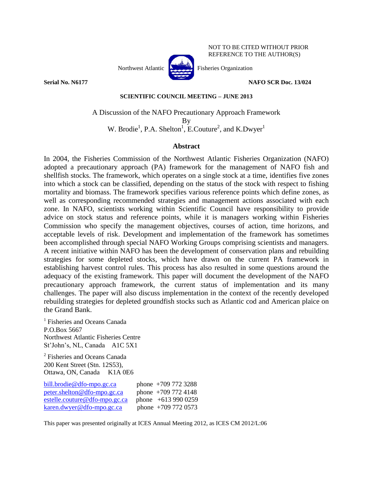

## NOT TO BE CITED WITHOUT PRIOR REFERENCE TO THE AUTHOR(S)

**Serial No. N6177 NAFO SCR Doc. 13/024**

### **SCIENTIFIC COUNCIL MEETING – JUNE 2013**

# A Discussion of the NAFO Precautionary Approach Framework By W. Brodie<sup>1</sup>, P.A. Shelton<sup>1</sup>, E.Couture<sup>2</sup>, and K.Dwyer<sup>1</sup>

## **Abstract**

In 2004, the Fisheries Commission of the Northwest Atlantic Fisheries Organization (NAFO) adopted a precautionary approach (PA) framework for the management of NAFO fish and shellfish stocks. The framework, which operates on a single stock at a time, identifies five zones into which a stock can be classified, depending on the status of the stock with respect to fishing mortality and biomass. The framework specifies various reference points which define zones, as well as corresponding recommended strategies and management actions associated with each zone. In NAFO, scientists working within Scientific Council have responsibility to provide advice on stock status and reference points, while it is managers working within Fisheries Commission who specify the management objectives, courses of action, time horizons, and acceptable levels of risk. Development and implementation of the framework has sometimes been accomplished through special NAFO Working Groups comprising scientists and managers. A recent initiative within NAFO has been the development of conservation plans and rebuilding strategies for some depleted stocks, which have drawn on the current PA framework in establishing harvest control rules. This process has also resulted in some questions around the adequacy of the existing framework. This paper will document the development of the NAFO precautionary approach framework, the current status of implementation and its many challenges. The paper will also discuss implementation in the context of the recently developed rebuilding strategies for depleted groundfish stocks such as Atlantic cod and American plaice on the Grand Bank.

<sup>1</sup> Fisheries and Oceans Canada P.O.Box 5667 Northwest Atlantic Fisheries Centre St'John's, NL, Canada A1C 5X1

2 Fisheries and Oceans Canada 200 Kent Street (Stn. 12S53), Ottawa, ON, Canada K1A 0E6

| bill.brodie@dfo-mpo.gc.ca     | phone $+709$ 772 3288 |
|-------------------------------|-----------------------|
| peter.shelton@dfo-mpo.gc.ca   | phone $+7097724148$   |
| estelle.couture@dfo-mpo.gc.ca | phone $+6139900259$   |
| karen.dwyer@dfo-mpo.gc.ca     | phone $+7097720573$   |

This paper was presented originally at ICES Annual Meeting 2012, as ICES CM 2012/L:06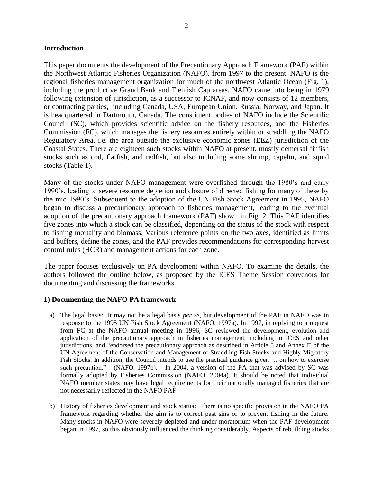## **Introduction**

This paper documents the development of the Precautionary Approach Framework (PAF) within the Northwest Atlantic Fisheries Organization (NAFO), from 1997 to the present. NAFO is the regional fisheries management organization for much of the northwest Atlantic Ocean (Fig. 1), including the productive Grand Bank and Flemish Cap areas. NAFO came into being in 1979 following extension of jurisdiction, as a successor to ICNAF, and now consists of 12 members, or contracting parties, including Canada, USA, European Union, Russia, Norway, and Japan. It is headquartered in Dartmouth, Canada. The constituent bodies of NAFO include the Scientific Council (SC), which provides scientific advice on the fishery resources, and the Fisheries Commission (FC), which manages the fishery resources entirely within or straddling the NAFO Regulatory Area, i.e. the area outside the exclusive economic zones (EEZ) jurisdiction of the Coastal States. There are eighteen such stocks within NAFO at present, mostly demersal finfish stocks such as cod, flatfish, and redfish, but also including some shrimp, capelin, and squid stocks (Table 1).

Many of the stocks under NAFO management were overfished through the 1980's and early 1990's, leading to severe resource depletion and closure of directed fishing for many of these by the mid 1990's. Subsequent to the adoption of the UN Fish Stock Agreement in 1995, NAFO began to discuss a precautionary approach to fisheries management, leading to the eventual adoption of the precautionary approach framework (PAF) shown in Fig. 2. This PAF identifies five zones into which a stock can be classified, depending on the status of the stock with respect to fishing mortality and biomass. Various reference points on the two axes, identified as limits and buffers, define the zones, and the PAF provides recommendations for corresponding harvest control rules (HCR) and management actions for each zone.

The paper focuses exclusively on PA development within NAFO. To examine the details, the authors followed the outline below, as proposed by the ICES Theme Session convenors for documenting and discussing the frameworks.

# **1) Documenting the NAFO PA framework**

- a) The legal basis: It may not be a legal basis *per se*, but development of the PAF in NAFO was in response to the 1995 UN Fish Stock Agreement (NAFO, 1997a). In 1997, in replying to a request from FC at the NAFO annual meeting in 1996, SC reviewed the development, evolution and application of the precautionary approach in fisheries management, including in ICES and other jurisdictions, and "endorsed the precautionary approach as described in Article 6 and Annex II of the UN Agreement of the Conservation and Management of Straddling Fish Stocks and Highly Migratory Fish Stocks. In addition, the Council intends to use the practical guidance given … on how to exercise such precaution." (NAFO, 1997b). In 2004, a version of the PA that was advised by SC was formally adopted by Fisheries Commission (NAFO, 2004a). It should be noted that individual NAFO member states may have legal requirements for their nationally managed fisheries that are not necessarily reflected in the NAFO PAF.
- b) History of fisheries development and stock status: There is no specific provision in the NAFO PA framework regarding whether the aim is to correct past sins or to prevent fishing in the future. Many stocks in NAFO were severely depleted and under moratorium when the PAF development began in 1997, so this obviously influenced the thinking considerably. Aspects of rebuilding stocks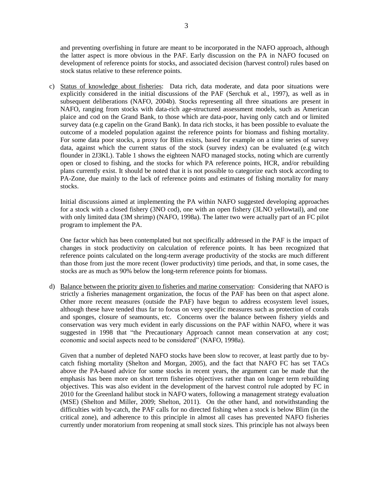and preventing overfishing in future are meant to be incorporated in the NAFO approach, although the latter aspect is more obvious in the PAF. Early discussion on the PA in NAFO focused on development of reference points for stocks, and associated decision (harvest control) rules based on stock status relative to these reference points.

c) Status of knowledge about fisheries: Data rich, data moderate, and data poor situations were explicitly considered in the initial discussions of the PAF (Serchuk et al., 1997), as well as in subsequent deliberations (NAFO, 2004b). Stocks representing all three situations are present in NAFO, ranging from stocks with data-rich age-structured assessment models, such as American plaice and cod on the Grand Bank, to those which are data-poor, having only catch and or limited survey data (e.g capelin on the Grand Bank). In data rich stocks, it has been possible to evaluate the outcome of a modeled population against the reference points for biomass and fishing mortality. For some data poor stocks, a proxy for Blim exists, based for example on a time series of survey data, against which the current status of the stock (survey index) can be evaluated (e.g witch flounder in 2J3KL). Table 1 shows the eighteen NAFO managed stocks, noting which are currently open or closed to fishing, and the stocks for which PA reference points, HCR, and/or rebuilding plans currently exist. It should be noted that it is not possible to categorize each stock according to PA-Zone, due mainly to the lack of reference points and estimates of fishing mortality for many stocks.

Initial discussions aimed at implementing the PA within NAFO suggested developing approaches for a stock with a closed fishery (3NO cod), one with an open fishery (3LNO yellowtail), and one with only limited data (3M shrimp) (NAFO, 1998a). The latter two were actually part of an FC pilot program to implement the PA.

One factor which has been contemplated but not specifically addressed in the PAF is the impact of changes in stock productivity on calculation of reference points. It has been recognized that reference points calculated on the long-term average productivity of the stocks are much different than those from just the more recent (lower productivity) time periods, and that, in some cases, the stocks are as much as 90% below the long-term reference points for biomass.

d) Balance between the priority given to fisheries and marine conservation: Considering that NAFO is strictly a fisheries management organization, the focus of the PAF has been on that aspect alone. Other more recent measures (outside the PAF) have begun to address ecosystem level issues, although these have tended thus far to focus on very specific measures such as protection of corals and sponges, closure of seamounts, etc. Concerns over the balance between fishery yields and conservation was very much evident in early discussions on the PAF within NAFO, where it was suggested in 1998 that "the Precautionary Approach cannot mean conservation at any cost; economic and social aspects need to be considered" (NAFO, 1998a).

Given that a number of depleted NAFO stocks have been slow to recover, at least partly due to bycatch fishing mortality (Shelton and Morgan, 2005), and the fact that NAFO FC has set TACs above the PA-based advice for some stocks in recent years, the argument can be made that the emphasis has been more on short term fisheries objectives rather than on longer term rebuilding objectives. This was also evident in the development of the harvest control rule adopted by FC in 2010 for the Greenland halibut stock in NAFO waters, following a management strategy evaluation (MSE) (Shelton and Miller, 2009; Shelton, 2011). On the other hand, and notwithstanding the difficulties with by-catch, the PAF calls for no directed fishing when a stock is below Blim (in the critical zone), and adherence to this principle in almost all cases has prevented NAFO fisheries currently under moratorium from reopening at small stock sizes. This principle has not always been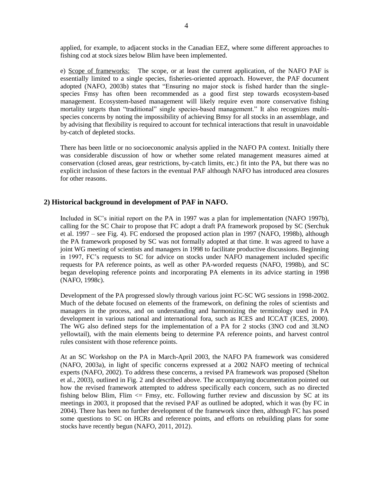applied, for example, to adjacent stocks in the Canadian EEZ, where some different approaches to fishing cod at stock sizes below Blim have been implemented.

e) Scope of frameworks: The scope, or at least the current application, of the NAFO PAF is essentially limited to a single species, fisheries-oriented approach. However, the PAF document adopted (NAFO, 2003b) states that "Ensuring no major stock is fished harder than the singlespecies Fmsy has often been recommended as a good first step towards ecosystem-based management. Ecosystem-based management will likely require even more conservative fishing mortality targets than "traditional" single species-based management." It also recognizes multispecies concerns by noting the impossibility of achieving Bmsy for all stocks in an assemblage, and by advising that flexibility is required to account for technical interactions that result in unavoidable by-catch of depleted stocks.

There has been little or no socioeconomic analysis applied in the NAFO PA context. Initially there was considerable discussion of how or whether some related management measures aimed at conservation (closed areas, gear restrictions, by-catch limits, etc.) fit into the PA, but there was no explicit inclusion of these factors in the eventual PAF although NAFO has introduced area closures for other reasons.

### **2) Historical background in development of PAF in NAFO.**

Included in SC's initial report on the PA in 1997 was a plan for implementation (NAFO 1997b), calling for the SC Chair to propose that FC adopt a draft PA framework proposed by SC (Serchuk et al. 1997 – see Fig. 4). FC endorsed the proposed action plan in 1997 (NAFO, 1998b), although the PA framework proposed by SC was not formally adopted at that time. It was agreed to have a joint WG meeting of scientists and managers in 1998 to facilitate productive discussions. Beginning in 1997, FC's requests to SC for advice on stocks under NAFO management included specific requests for PA reference points, as well as other PA-worded requests (NAFO, 1998b), and SC began developing reference points and incorporating PA elements in its advice starting in 1998 (NAFO, 1998c).

Development of the PA progressed slowly through various joint FC-SC WG sessions in 1998-2002. Much of the debate focused on elements of the framework, on defining the roles of scientists and managers in the process, and on understanding and harmonizing the terminology used in PA development in various national and international fora, such as ICES and ICCAT (ICES, 2000). The WG also defined steps for the implementation of a PA for 2 stocks (3NO cod and 3LNO yellowtail), with the main elements being to determine PA reference points, and harvest control rules consistent with those reference points.

At an SC Workshop on the PA in March-April 2003, the NAFO PA framework was considered (NAFO, 2003a), in light of specific concerns expressed at a 2002 NAFO meeting of technical experts (NAFO, 2002). To address these concerns, a revised PA framework was proposed (Shelton et al., 2003), outlined in Fig. 2 and described above. The accompanying documentation pointed out how the revised framework attempted to address specifically each concern, such as no directed fishing below Blim, Flim  $\leq$  Fmsy, etc. Following further review and discussion by SC at its meetings in 2003, it proposed that the revised PAF as outlined be adopted, which it was (by FC in 2004). There has been no further development of the framework since then, although FC has posed some questions to SC on HCRs and reference points, and efforts on rebuilding plans for some stocks have recently begun (NAFO, 2011, 2012).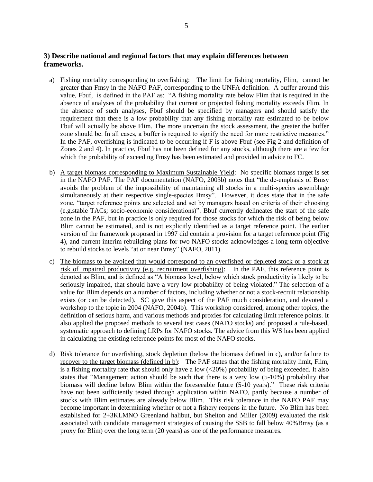# **3) Describe national and regional factors that may explain differences between frameworks.**

- a) Fishing mortality corresponding to overfishing: The limit for fishing mortality, Flim, cannot be greater than Fmsy in the NAFO PAF, corresponding to the UNFA definition. A buffer around this value, Fbuf, is defined in the PAF as: "A fishing mortality rate below Flim that is required in the absence of analyses of the probability that current or projected fishing mortality exceeds Flim. In the absence of such analyses, Fbuf should be specified by managers and should satisfy the requirement that there is a low probability that any fishing mortality rate estimated to be below Fbuf will actually be above Flim. The more uncertain the stock assessment, the greater the buffer zone should be. In all cases, a buffer is required to signify the need for more restrictive measures." In the PAF, overfishing is indicated to be occurring if F is above Fbuf (see Fig 2 and definition of Zones 2 and 4). In practice, Fbuf has not been defined for any stocks, although there are a few for which the probability of exceeding Fmsy has been estimated and provided in advice to FC.
- b) A target biomass corresponding to Maximum Sustainable Yield: No specific biomass target is set in the NAFO PAF. The PAF documentation (NAFO, 2003b) notes that "the de-emphasis of Bmsy avoids the problem of the impossibility of maintaining all stocks in a multi-species assemblage simultaneously at their respective single-species Bmsy". However, it does state that in the safe zone, "target reference points are selected and set by managers based on criteria of their choosing (e.g.stable TACs; socio-economic considerations)". Bbuf currently delineates the start of the safe zone in the PAF, but in practice is only required for those stocks for which the risk of being below Blim cannot be estimated, and is not explicitly identified as a target reference point. The earlier version of the framework proposed in 1997 did contain a provision for a target reference point (Fig 4), and current interim rebuilding plans for two NAFO stocks acknowledges a long-term objective to rebuild stocks to levels "at or near Bmsy" (NAFO, 2011).
- c) The biomass to be avoided that would correspond to an overfished or depleted stock or a stock at risk of impaired productivity (e.g. recruitment overfishing): In the PAF, this reference point is denoted as Blim, and is defined as "A biomass level, below which stock productivity is likely to be seriously impaired, that should have a very low probability of being violated." The selection of a value for Blim depends on a number of factors, including whether or not a stock-recruit relationship exists (or can be detected). SC gave this aspect of the PAF much consideration, and devoted a workshop to the topic in 2004 (NAFO, 2004b). This workshop considered, among other topics, the definition of serious harm, and various methods and proxies for calculating limit reference points. It also applied the proposed methods to several test cases (NAFO stocks) and proposed a rule-based, systematic approach to defining LRPs for NAFO stocks. The advice from this WS has been applied in calculating the existing reference points for most of the NAFO stocks.
- d) Risk tolerance for overfishing, stock depletion (below the biomass defined in c), and/or failure to recover to the target biomass (defined in b): The PAF states that the fishing mortality limit, Flim, is a fishing mortality rate that should only have a low  $\left( \langle 20\% \rangle \right)$  probability of being exceeded. It also states that "Management action should be such that there is a very low (5-10%) probability that biomass will decline below Blim within the foreseeable future (5-10 years)." These risk criteria have not been sufficiently tested through application within NAFO, partly because a number of stocks with Blim estimates are already below Blim. This risk tolerance in the NAFO PAF may become important in determining whether or not a fishery reopens in the future. No Blim has been established for 2+3KLMNO Greenland halibut, but Shelton and Miller (2009) evaluated the risk associated with candidate management strategies of causing the SSB to fall below 40%Bmsy (as a proxy for Blim) over the long term (20 years) as one of the performance measures.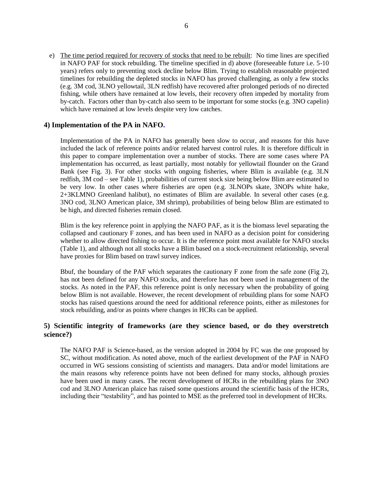e) The time period required for recovery of stocks that need to be rebuilt: No time lines are specified in NAFO PAF for stock rebuilding. The timeline specified in d) above (foreseeable future i.e. 5-10 years) refers only to preventing stock decline below Blim. Trying to establish reasonable projected timelines for rebuilding the depleted stocks in NAFO has proved challenging, as only a few stocks (e.g. 3M cod, 3LNO yellowtail, 3LN redfish) have recovered after prolonged periods of no directed fishing, while others have remained at low levels, their recovery often impeded by mortality from by-catch. Factors other than by-catch also seem to be important for some stocks (e.g. 3NO capelin) which have remained at low levels despite very low catches.

### **4) Implementation of the PA in NAFO.**

Implementation of the PA in NAFO has generally been slow to occur, and reasons for this have included the lack of reference points and/or related harvest control rules. It is therefore difficult in this paper to compare implementation over a number of stocks. There are some cases where PA implementation has occurred, as least partially, most notably for yellowtail flounder on the Grand Bank (see Fig. 3). For other stocks with ongoing fisheries, where Blim is available (e.g. 3LN redfish, 3M cod – see Table 1), probabilities of current stock size being below Blim are estimated to be very low. In other cases where fisheries are open (e.g. 3LNOPs skate, 3NOPs white hake, 2+3KLMNO Greenland halibut), no estimates of Blim are available. In several other cases (e.g. 3NO cod, 3LNO American plaice, 3M shrimp), probabilities of being below Blim are estimated to be high, and directed fisheries remain closed.

Blim is the key reference point in applying the NAFO PAF, as it is the biomass level separating the collapsed and cautionary F zones, and has been used in NAFO as a decision point for considering whether to allow directed fishing to occur. It is the reference point most available for NAFO stocks (Table 1), and although not all stocks have a Blim based on a stock-recruitment relationship, several have proxies for Blim based on trawl survey indices.

Bbuf, the boundary of the PAF which separates the cautionary F zone from the safe zone (Fig 2), has not been defined for any NAFO stocks, and therefore has not been used in management of the stocks. As noted in the PAF, this reference point is only necessary when the probability of going below Blim is not available. However, the recent development of rebuilding plans for some NAFO stocks has raised questions around the need for additional reference points, either as milestones for stock rebuilding, and/or as points where changes in HCRs can be applied.

## **5) Scientific integrity of frameworks (are they science based, or do they overstretch science?)**

The NAFO PAF is Science-based, as the version adopted in 2004 by FC was the one proposed by SC, without modification. As noted above, much of the earliest development of the PAF in NAFO occurred in WG sessions consisting of scientists and managers. Data and/or model limitations are the main reasons why reference points have not been defined for many stocks, although proxies have been used in many cases. The recent development of HCRs in the rebuilding plans for 3NO cod and 3LNO American plaice has raised some questions around the scientific basis of the HCRs, including their "testability", and has pointed to MSE as the preferred tool in development of HCRs.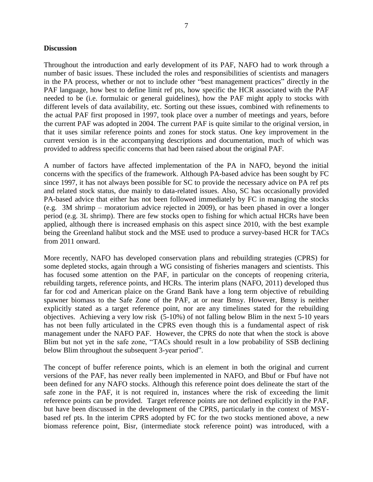#### **Discussion**

Throughout the introduction and early development of its PAF, NAFO had to work through a number of basic issues. These included the roles and responsibilities of scientists and managers in the PA process, whether or not to include other "best management practices" directly in the PAF language, how best to define limit ref pts, how specific the HCR associated with the PAF needed to be (i.e. formulaic or general guidelines), how the PAF might apply to stocks with different levels of data availability, etc. Sorting out these issues, combined with refinements to the actual PAF first proposed in 1997, took place over a number of meetings and years, before the current PAF was adopted in 2004. The current PAF is quite similar to the original version, in that it uses similar reference points and zones for stock status. One key improvement in the current version is in the accompanying descriptions and documentation, much of which was provided to address specific concerns that had been raised about the original PAF.

A number of factors have affected implementation of the PA in NAFO, beyond the initial concerns with the specifics of the framework. Although PA-based advice has been sought by FC since 1997, it has not always been possible for SC to provide the necessary advice on PA ref pts and related stock status, due mainly to data-related issues. Also, SC has occasionally provided PA-based advice that either has not been followed immediately by FC in managing the stocks (e.g. 3M shrimp – moratorium advice rejected in 2009), or has been phased in over a longer period (e.g. 3L shrimp). There are few stocks open to fishing for which actual HCRs have been applied, although there is increased emphasis on this aspect since 2010, with the best example being the Greenland halibut stock and the MSE used to produce a survey-based HCR for TACs from 2011 onward.

More recently, NAFO has developed conservation plans and rebuilding strategies (CPRS) for some depleted stocks, again through a WG consisting of fisheries managers and scientists. This has focused some attention on the PAF, in particular on the concepts of reopening criteria, rebuilding targets, reference points, and HCRs. The interim plans (NAFO, 2011) developed thus far for cod and American plaice on the Grand Bank have a long term objective of rebuilding spawner biomass to the Safe Zone of the PAF, at or near Bmsy. However, Bmsy is neither explicitly stated as a target reference point, nor are any timelines stated for the rebuilding objectives. Achieving a very low risk (5-10%) of not falling below Blim in the next 5-10 years has not been fully articulated in the CPRS even though this is a fundamental aspect of risk management under the NAFO PAF. However, the CPRS do note that when the stock is above Blim but not yet in the safe zone, "TACs should result in a low probability of SSB declining below Blim throughout the subsequent 3-year period".

The concept of buffer reference points, which is an element in both the original and current versions of the PAF, has never really been implemented in NAFO, and Bbuf or Fbuf have not been defined for any NAFO stocks. Although this reference point does delineate the start of the safe zone in the PAF, it is not required in, instances where the risk of exceeding the limit reference points can be provided. Target reference points are not defined explicitly in the PAF, but have been discussed in the development of the CPRS, particularly in the context of MSYbased ref pts. In the interim CPRS adopted by FC for the two stocks mentioned above, a new biomass reference point, Bisr, (intermediate stock reference point) was introduced, with a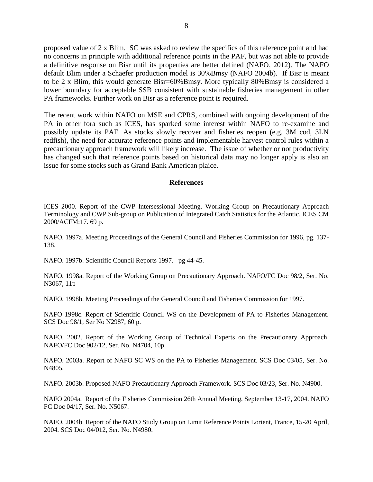proposed value of 2 x Blim. SC was asked to review the specifics of this reference point and had no concerns in principle with additional reference points in the PAF, but was not able to provide a definitive response on Bisr until its properties are better defined (NAFO, 2012). The NAFO default Blim under a Schaefer production model is 30%Bmsy (NAFO 2004b). If Bisr is meant to be 2 x Blim, this would generate Bisr=60%Bmsy. More typically 80%Bmsy is considered a lower boundary for acceptable SSB consistent with sustainable fisheries management in other PA frameworks. Further work on Bisr as a reference point is required.

The recent work within NAFO on MSE and CPRS, combined with ongoing development of the PA in other fora such as ICES, has sparked some interest within NAFO to re-examine and possibly update its PAF. As stocks slowly recover and fisheries reopen (e.g. 3M cod, 3LN redfish), the need for accurate reference points and implementable harvest control rules within a precautionary approach framework will likely increase. The issue of whether or not productivity has changed such that reference points based on historical data may no longer apply is also an issue for some stocks such as Grand Bank American plaice.

#### **References**

ICES 2000. Report of the CWP Intersessional Meeting. Working Group on Precautionary Approach Terminology and CWP Sub-group on Publication of Integrated Catch Statistics for the Atlantic. ICES CM 2000/ACFM:17. 69 p.

NAFO. 1997a. Meeting Proceedings of the General Council and Fisheries Commission for 1996, pg. 137- 138.

NAFO. 1997b. Scientific Council Reports 1997. pg 44-45.

NAFO. 1998a. Report of the Working Group on Precautionary Approach. NAFO/FC Doc 98/2, Ser. No. N3067, 11p

NAFO. 1998b. Meeting Proceedings of the General Council and Fisheries Commission for 1997.

NAFO 1998c. Report of Scientific Council WS on the Development of PA to Fisheries Management. SCS Doc 98/1, Ser No N2987, 60 p.

NAFO. 2002. Report of the Working Group of Technical Experts on the Precautionary Approach. NAFO/FC Doc 902/12, Ser. No. N4704, 10p.

NAFO. 2003a. Report of NAFO SC WS on the PA to Fisheries Management. SCS Doc 03/05, Ser. No. N4805.

NAFO. 2003b. Proposed NAFO Precautionary Approach Framework. SCS Doc 03/23, Ser. No. N4900.

NAFO 2004a. Report of the Fisheries Commission 26th Annual Meeting, September 13-17, 2004. NAFO FC Doc 04/17, Ser. No. N5067.

NAFO. 2004b Report of the NAFO Study Group on Limit Reference Points Lorient, France, 15-20 April, 2004. SCS Doc 04/012, Ser. No. N4980.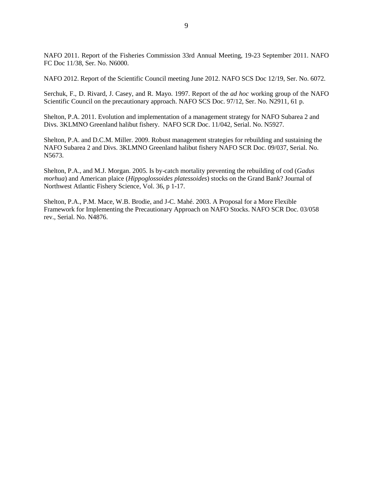NAFO 2011. Report of the Fisheries Commission 33rd Annual Meeting, 19-23 September 2011. NAFO FC Doc 11/38, Ser. No. N6000.

NAFO 2012. Report of the Scientific Council meeting June 2012. NAFO SCS Doc 12/19, Ser. No. 6072.

Serchuk, F., D. Rivard, J. Casey, and R. Mayo. 1997. Report of the *ad hoc* working group of the NAFO Scientific Council on the precautionary approach. NAFO SCS Doc. 97/12, Ser. No. N2911, 61 p.

Shelton, P.A. 2011. Evolution and implementation of a management strategy for NAFO Subarea 2 and Divs. 3KLMNO Greenland halibut fishery. NAFO SCR Doc. 11/042, Serial. No. N5927.

Shelton, P.A. and D.C.M. Miller. 2009. Robust management strategies for rebuilding and sustaining the NAFO Subarea 2 and Divs. 3KLMNO Greenland halibut fishery NAFO SCR Doc. 09/037, Serial. No. N5673.

Shelton, P.A., and M.J. Morgan. 2005. Is by-catch mortality preventing the rebuilding of cod (*Gadus morhua*) and American plaice (*Hippoglossoides platessoides*) stocks on the Grand Bank? Journal of Northwest Atlantic Fishery Science, Vol. 36, p 1-17.

Shelton, P.A., P.M. Mace, W.B. Brodie, and J-C. Mahé. 2003. A Proposal for a More Flexible Framework for Implementing the Precautionary Approach on NAFO Stocks. NAFO SCR Doc. 03/058 rev., Serial. No. N4876.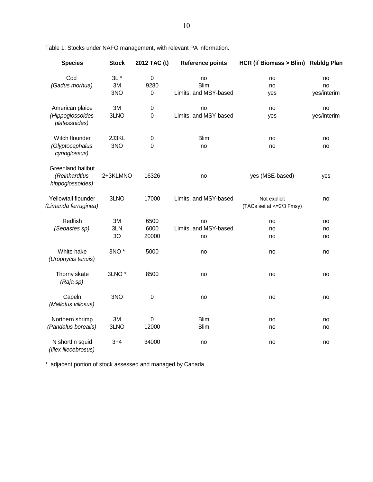| <b>Species</b>                                                | <b>Stock</b>        | 2012 TAC (t)                   | <b>Reference points</b>                    | HCR (if Biomass > Blim) Rebldg Plan       |                         |
|---------------------------------------------------------------|---------------------|--------------------------------|--------------------------------------------|-------------------------------------------|-------------------------|
| Cod<br>(Gadus morhua)                                         | $3L^*$<br>3M<br>3NO | $\pmb{0}$<br>9280<br>$\pmb{0}$ | no<br><b>Blim</b><br>Limits, and MSY-based | no<br>no<br>yes                           | no<br>no<br>yes/interim |
| American plaice<br>(Hippoglossoides<br>platessoides)          | 3M<br>3LNO          | $\mathbf 0$<br>$\mathbf 0$     | no<br>Limits, and MSY-based                | no<br>yes                                 | no<br>yes/interim       |
| Witch flounder<br>(Glyptocephalus<br>cynoglossus)             | 2J3KL<br>3NO        | $\mathbf 0$<br>0               | <b>Blim</b><br>no                          | no<br>no                                  | no<br>no                |
| <b>Greenland halibut</b><br>(Reinhardtius<br>hippoglossoides) | 2+3KLMNO            | 16326                          | no                                         | yes (MSE-based)                           | yes                     |
| Yellowtail flounder<br>(Limanda ferruginea)                   | 3LNO                | 17000                          | Limits, and MSY-based                      | Not explicit<br>(TACs set at <= 2/3 Fmsy) | no                      |
| Redfish<br>(Sebastes sp)                                      | 3M<br>3LN<br>3O     | 6500<br>6000<br>20000          | no<br>Limits, and MSY-based<br>no          | no<br>no<br>no                            | no<br>no<br>no          |
| White hake<br>(Urophycis tenuis)                              | 3NO <sup>*</sup>    | 5000                           | no                                         | no                                        | no                      |
| Thorny skate<br>(Raja sp)                                     | 3LNO <sup>*</sup>   | 8500                           | no                                         | no                                        | no                      |
| Capeln<br>(Mallotus villosus)                                 | 3NO                 | 0                              | no                                         | no                                        | no                      |
| Northern shrimp<br>(Pandalus borealis)                        | 3M<br>3LNO          | $\pmb{0}$<br>12000             | <b>Blim</b><br><b>Blim</b>                 | no<br>no                                  | no<br>no                |
| N shortfin squid<br>(Illex illecebrosus)                      | $3 + 4$             | 34000                          | no                                         | no                                        | no                      |

Table 1. Stocks under NAFO management, with relevant PA information.

\* adjacent portion of stock assessed and managed by Canada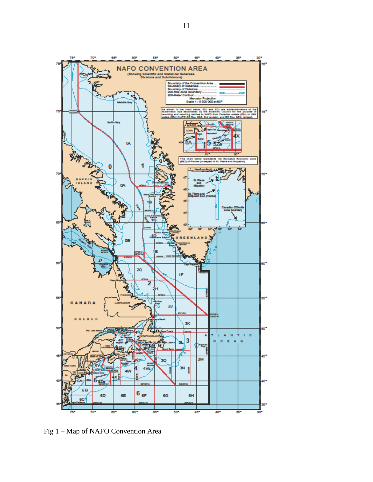

Fig 1 – Map of NAFO Convention Area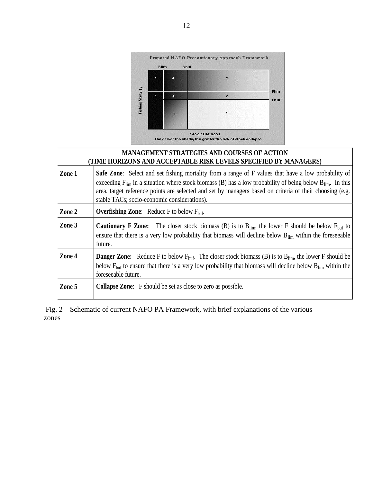

# **MANAGEMENT STRATEGIES AND COURSES OF ACTION (TIME HORIZONS AND ACCEPTABLE RISK LEVELS SPECIFIED BY MANAGERS)**

| Zone 1 | <b>Safe Zone:</b> Select and set fishing mortality from a range of F values that have a low probability of<br>exceeding $F_{\text{lim}}$ in a situation where stock biomass (B) has a low probability of being below $B_{\text{lim}}$ . In this<br>area, target reference points are selected and set by managers based on criteria of their choosing (e.g.<br>stable TACs; socio-economic considerations). |
|--------|-------------------------------------------------------------------------------------------------------------------------------------------------------------------------------------------------------------------------------------------------------------------------------------------------------------------------------------------------------------------------------------------------------------|
| Zone 2 | <b>Overfishing Zone:</b> Reduce F to below $F_{\text{buf}}$ .                                                                                                                                                                                                                                                                                                                                               |
| Zone 3 | <b>Cautionary F Zone:</b> The closer stock biomass (B) is to $B_{lim}$ , the lower F should be below $F_{part}$ to<br>ensure that there is a very low probability that biomass will decline below $B_{\text{lim}}$ within the foreseeable<br>future.                                                                                                                                                        |
| Zone 4 | <b>Danger Zone:</b> Reduce F to below $F_{\text{buf}}$ . The closer stock biomass (B) is to $B_{\text{lim}}$ , the lower F should be<br>below $F_{\text{buf}}$ to ensure that there is a very low probability that biomass will decline below $B_{\text{lim}}$ within the<br>foreseeable future.                                                                                                            |
| Zone 5 | <b>Collapse Zone:</b> F should be set as close to zero as possible.                                                                                                                                                                                                                                                                                                                                         |

Fig. 2 – Schematic of current NAFO PA Framework, with brief explanations of the various zones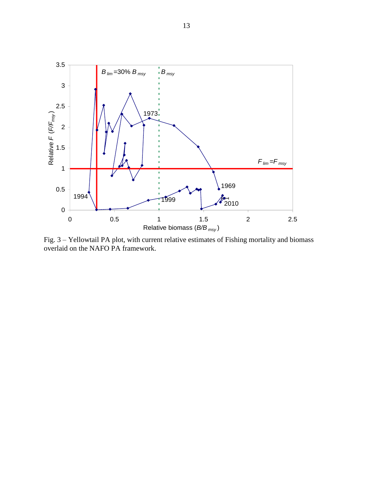

Fig. 3 – Yellowtail PA plot, with current relative estimates of Fishing mortality and biomass overlaid on the NAFO PA framework.